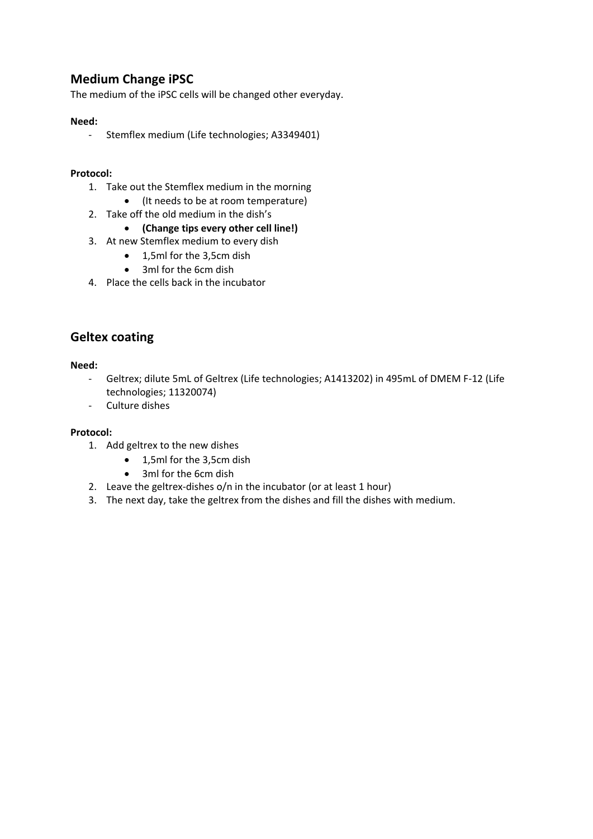# **Medium Change iPSC**

The medium of the iPSC cells will be changed other everyday.

## **Need:**

- Stemflex medium (Life technologies; A3349401)

#### **Protocol:**

- 1. Take out the Stemflex medium in the morning
	- (It needs to be at room temperature)
- 2. Take off the old medium in the dish's

#### **(Change tips every other cell line!)**

- 3. At new Stemflex medium to every dish
	- 1,5ml for the 3,5cm dish
	- 3ml for the 6cm dish
- 4. Place the cells back in the incubator

# **Geltex coating**

#### **Need:**

- Geltrex; dilute 5mL of Geltrex (Life technologies; A1413202) in 495mL of DMEM F-12 (Life technologies; 11320074)
- Culture dishes

#### **Protocol:**

- 1. Add geltrex to the new dishes
	- 1,5ml for the 3,5cm dish
	- 3ml for the 6cm dish
- 2. Leave the geltrex-dishes o/n in the incubator (or at least 1 hour)
- 3. The next day, take the geltrex from the dishes and fill the dishes with medium.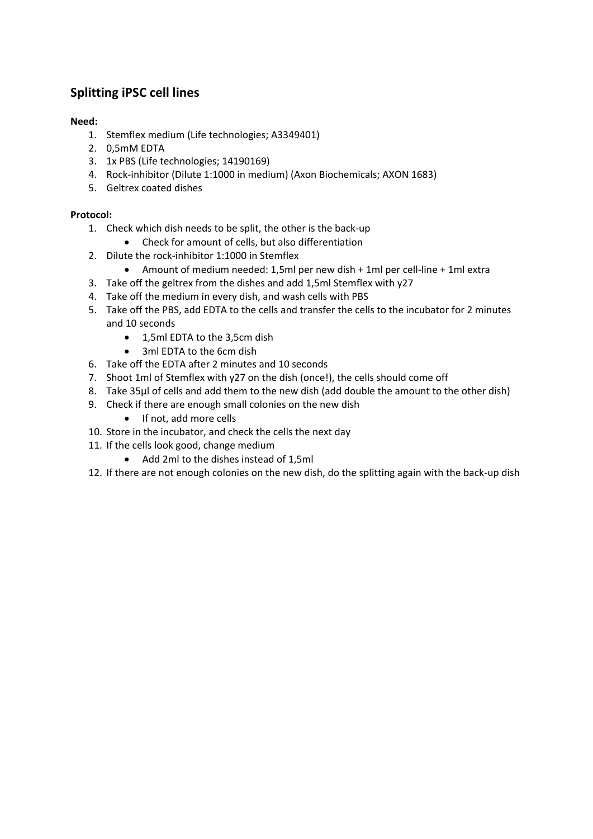# **Splitting iPSC cell lines**

# **Need:**

- 1. Stemflex medium (Life technologies; A3349401)
- 2. 0,5mM EDTA
- 3. 1x PBS (Life technologies; 14190169)
- 4. Rock-inhibitor (Dilute 1:1000 in medium) (Axon Biochemicals; AXON 1683)
- 5. Geltrex coated dishes

## **Protocol:**

- 1. Check which dish needs to be split, the other is the back-up
	- Check for amount of cells, but also differentiation
- 2. Dilute the rock-inhibitor 1:1000 in Stemflex
	- Amount of medium needed: 1,5ml per new dish + 1ml per cell-line + 1ml extra
- 3. Take off the geltrex from the dishes and add 1,5ml Stemflex with y27
- 4. Take off the medium in every dish, and wash cells with PBS
- 5. Take off the PBS, add EDTA to the cells and transfer the cells to the incubator for 2 minutes and 10 seconds
	- 1,5ml EDTA to the 3,5cm dish
	- 3ml EDTA to the 6cm dish
- 6. Take off the EDTA after 2 minutes and 10 seconds
- 7. Shoot 1ml of Stemflex with y27 on the dish (once!), the cells should come off
- 8. Take 35µl of cells and add them to the new dish (add double the amount to the other dish)
- 9. Check if there are enough small colonies on the new dish
	- If not, add more cells
- 10. Store in the incubator, and check the cells the next day
- 11. If the cells look good, change medium
	- Add 2ml to the dishes instead of 1,5ml
- 12. If there are not enough colonies on the new dish, do the splitting again with the back-up dish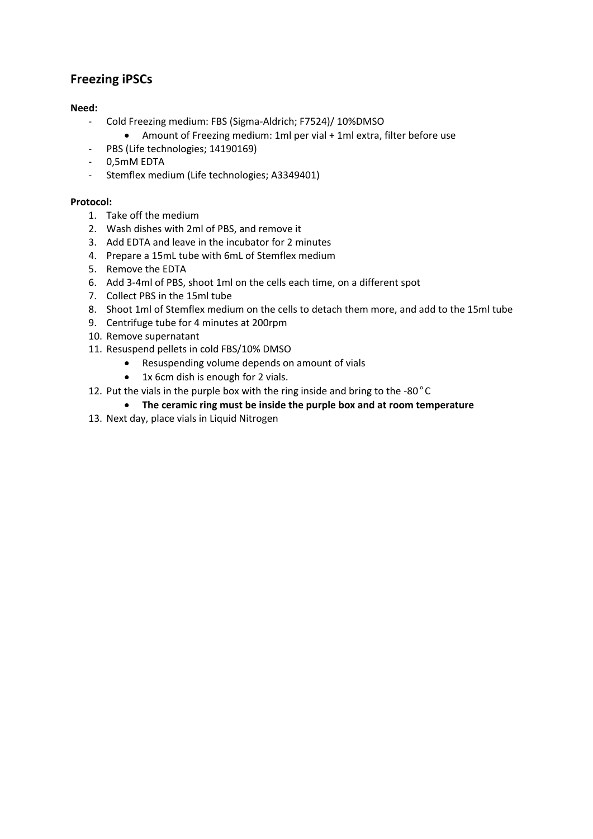# **Freezing iPSCs**

## **Need:**

- Cold Freezing medium: FBS (Sigma-Aldrich; F7524)/ 10%DMSO
	- Amount of Freezing medium: 1ml per vial + 1ml extra, filter before use
- PBS (Life technologies; 14190169)
- 0,5mM EDTA
- Stemflex medium (Life technologies; A3349401)

## **Protocol:**

- 1. Take off the medium
- 2. Wash dishes with 2ml of PBS, and remove it
- 3. Add EDTA and leave in the incubator for 2 minutes
- 4. Prepare a 15mL tube with 6mL of Stemflex medium
- 5. Remove the EDTA
- 6. Add 3-4ml of PBS, shoot 1ml on the cells each time, on a different spot
- 7. Collect PBS in the 15ml tube
- 8. Shoot 1ml of Stemflex medium on the cells to detach them more, and add to the 15ml tube
- 9. Centrifuge tube for 4 minutes at 200rpm
- 10. Remove supernatant
- 11. Resuspend pellets in cold FBS/10% DMSO
	- Resuspending volume depends on amount of vials
	- 1x 6cm dish is enough for 2 vials.
- 12. Put the vials in the purple box with the ring inside and bring to the -80°C
	- **The ceramic ring must be inside the purple box and at room temperature**
- 13. Next day, place vials in Liquid Nitrogen